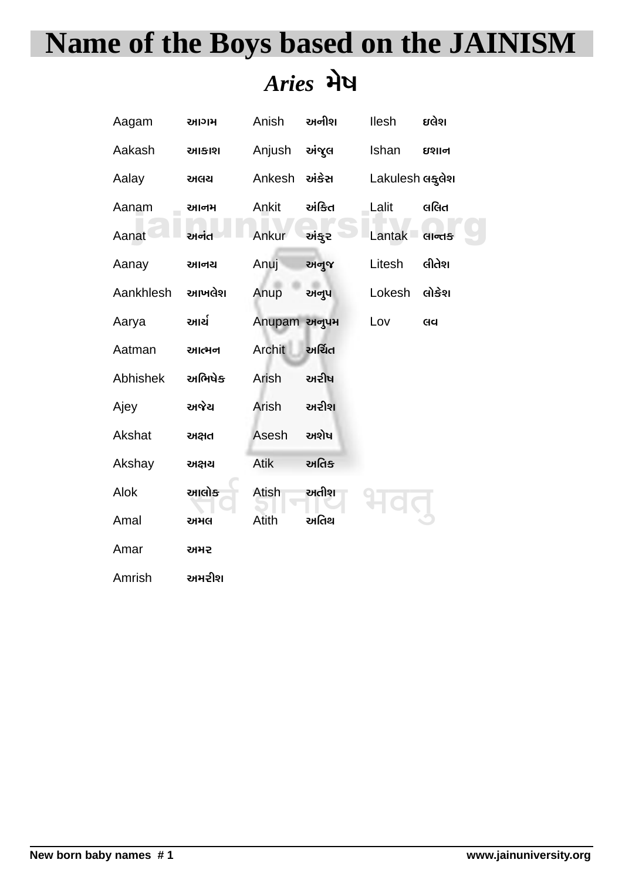# **Name of the Boys based on the JAINISM** Aries भेष

| Aagam     | આગમ    | Anish         | અનીશ   | llesh           | ઇલેશ   |
|-----------|--------|---------------|--------|-----------------|--------|
| Aakash    | આકાશ   | Anjush        | અંજુલ  | Ishan           | ઇશાન   |
| Aalay     | અલચ    | Ankesh        | અંકેસ  | Lakulesh લકુલેશ |        |
| Aanam     | આનમ    | Ankit         | અંકિત  | Lalit           | લલિત   |
| Aanat     | અનંત   | Ankur         | અંકુર  | Lantak          | सान्तङ |
| Aanay     | આનય    | Anuj          | અનુજ   | Litesh          | લીતેશ  |
| Aankhlesh | આખલેશ  | Anup          | અનૂપ   | Lokesh          | લોકેશ  |
| Aarya     | આર્ચ   | Anupam અનુપમ  |        | Lov             | Gq     |
| Aatman    | આત્મન  | <b>Archit</b> | અર્ચિત |                 |        |
| Abhishek  | અભિષેક | Arish         | અરીષ   |                 |        |
| Ajey      | અજેચ   | Arish         | અરીશ   |                 |        |
| Akshat    | અક્ષત  | Asesh         | અશેષ   |                 |        |
| Akshay    | અક્ષચ  | Atik          | અતિક્  |                 |        |
| Alok      | આલોક   | Atish         | અતીશ   |                 |        |
| Amal      | અમલ    | Atith         | અતિથ   |                 |        |
| Amar      | 래커군    |               |        |                 |        |
| Amrish    | અમરીશ  |               |        |                 |        |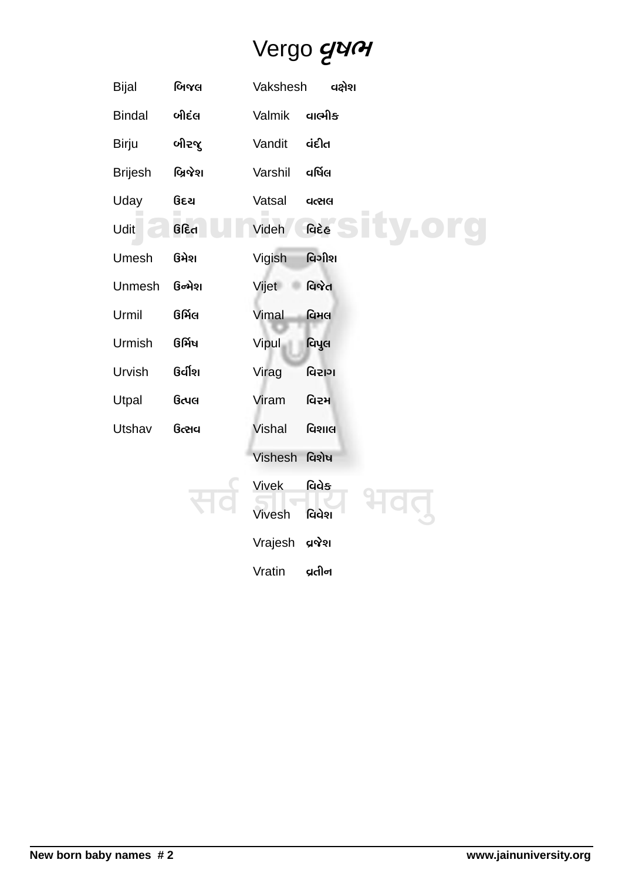## Vergo gun

| <b>Bijal</b>   | બિજલ    | Vakshesh      |         | વક્ષેશ |  |
|----------------|---------|---------------|---------|--------|--|
| <b>Bindal</b>  | બીદંલ   | Valmik        | વાભીક   |        |  |
| <b>Birju</b>   | બીરજૂ   | Vandit        | વંદીત   |        |  |
| <b>Brijesh</b> | બ્રિજેશ | Varshil       | વર્ષિલ  |        |  |
| Uday           | ઉદચ     | Vatsal        | વત્સલ   |        |  |
| Udit           | ઉદિત    | Videh         | વિદેહ   |        |  |
| Umesh          | ઉમેશ    | Vigish        | વિગીશ   |        |  |
| Unmesh         | ઉન્મેશ  | Vijet         | વિજેત   |        |  |
| Urmil          | ઉર્મિલ  | Vimal         | વિમલ    |        |  |
| Urmish         | ઉર્મિષ  | Vipul         | વિપુલ   |        |  |
| Urvish         | ઉર્વીશ  | Virag         | વિરાગ   |        |  |
| Utpal          | ઉત્પલ   | Viram         | વિરમ    |        |  |
| Utshav         | ઉત્સવ   | <b>Vishal</b> | વિશાલ   |        |  |
|                |         | Vishesh       | વિશેષ   |        |  |
|                |         | <b>Vivek</b>  | વિવેક   |        |  |
|                |         | Vivesh        | વિવેશ   |        |  |
|                |         | Vrajesh       | ପର୍ଡ଼ଧା |        |  |
|                |         | Vratin        | વ્રતીન  |        |  |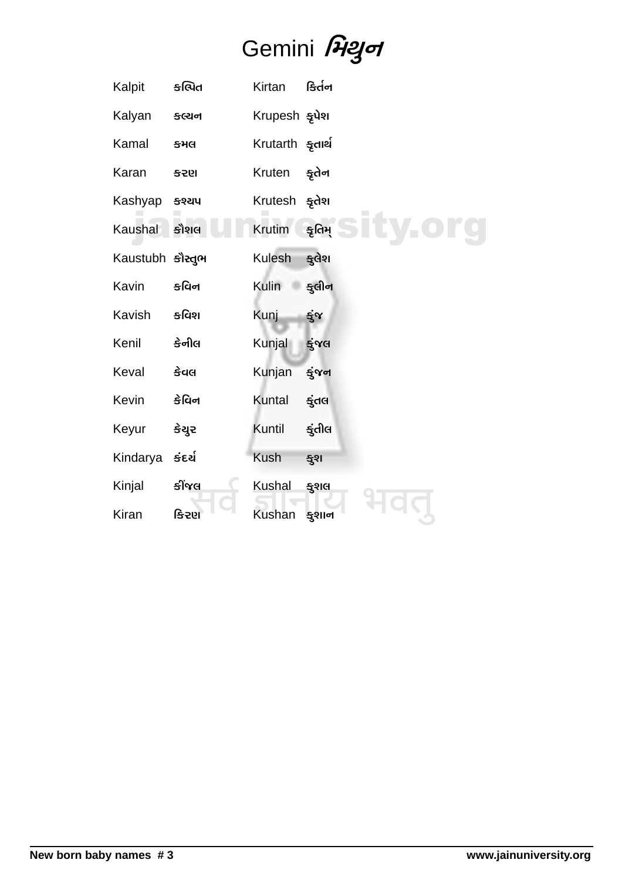# Gemini Pagot

| Kalpit           | કલિત            | Kirtan                     | કિર્તન    |
|------------------|-----------------|----------------------------|-----------|
| Kalyan           | કલ્યન           | Krupesh ફૂપેશ              |           |
| Kamal            | કમલ             | Krutarth <del>s</del> ุ ne |           |
| Karan            | <b>&amp;SEI</b> | Kruten                     | ङ्ग्रेतेन |
| Kashyap          | કશ્યપ           | Krutesh ફૂતેશ              |           |
| Kaushal          | કૌશલ            | Krutim                     | કૃતિમ્    |
| Kaustubh કૌસ્તુભ |                 | Kulesh                     | કુલેશ     |
| Kavin            | કવિન            | Kulin                      | કુલીન     |
| Kavish           | કવિશ            | <b>Kunj</b>                | કુંજ      |
| Kenil            | કેનીલ           | Kunjal                     | કુંજલ     |
| Keval            | કેવલ            | Kunjan                     | ङ्केषन    |
| Kevin            | કેવિન           | Kuntal                     | કુંતલ     |
| Keyur            | કેચુર           | Kuntil                     | કુંતીલ    |
| Kindarya         | કંદર્ય          | <b>Kush</b>                | ङ्गश      |
| Kinjal           | કીંજલ           | Kushal                     | કુશલ      |
| Kiran            | કિરણ            | <b>Kushan</b>              | કુશાન     |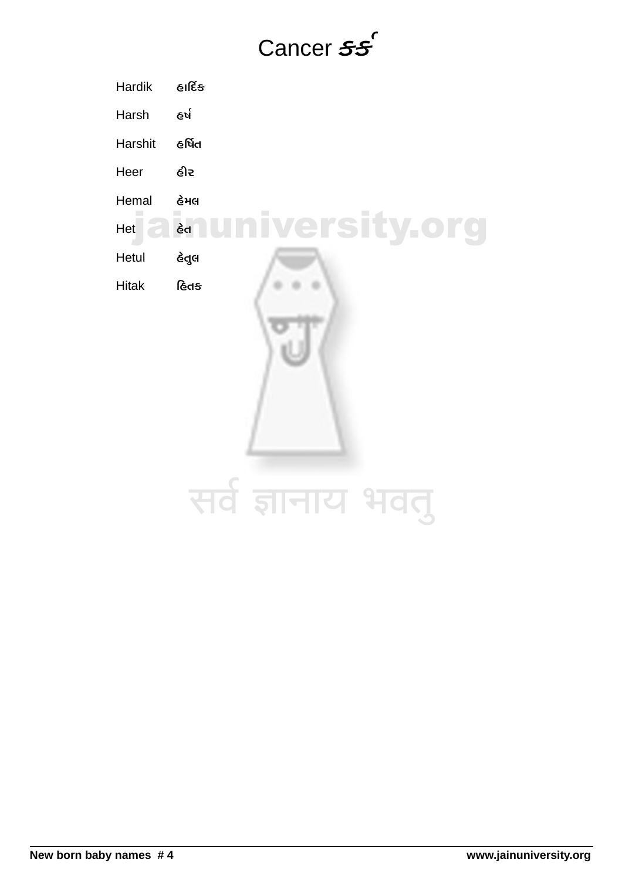### Cancer ss

**Hardik** હાર્દિક ใช่ล Harsh **e**ର୍ଷিત Harshit Heer હીર Hemal હેમલ **Iniversity.org**  $\epsilon$ d Het  $\overline{a}$ Hetul હેતુલ હિતક **Hitak** सर्व ज्ञानाय भवतु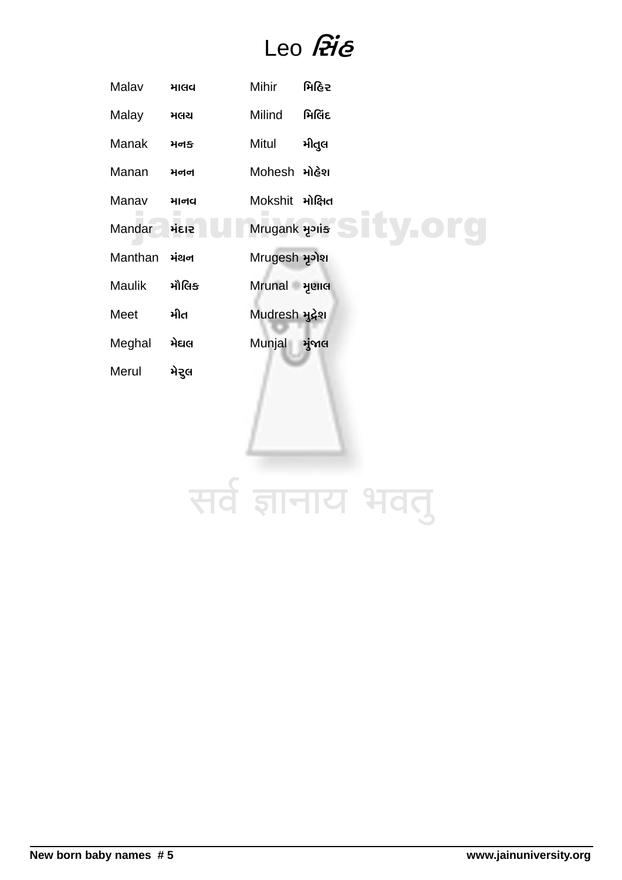#### Leo Pie

| માલવ   | Mihir                       | મિહિર           |
|--------|-----------------------------|-----------------|
| મલચ    | Milind                      | મિલિંદ          |
| મનક    | Mitul                       | મીતુલ           |
| મનન    | Mohesh મોહેશ                |                 |
| માનવ   | Mokshit મોક્ષિત             |                 |
| મંદાર  | Mrugank <b><i>a</i></b> ais | ty.org          |
| મંથન   | Mrugesh มุวโฆ               |                 |
| મૌલિક્ | Mrunal મૃણાલ                |                 |
| ਮੀਰ    | Mudresh મુદ્રેશ             |                 |
| મેઘલ   | Munjal                      | મુંજાલ          |
| મેરુલ  |                             |                 |
|        |                             |                 |
|        |                             |                 |
|        |                             |                 |
|        |                             |                 |
|        |                             | सर्वे ज्ञानाय भ |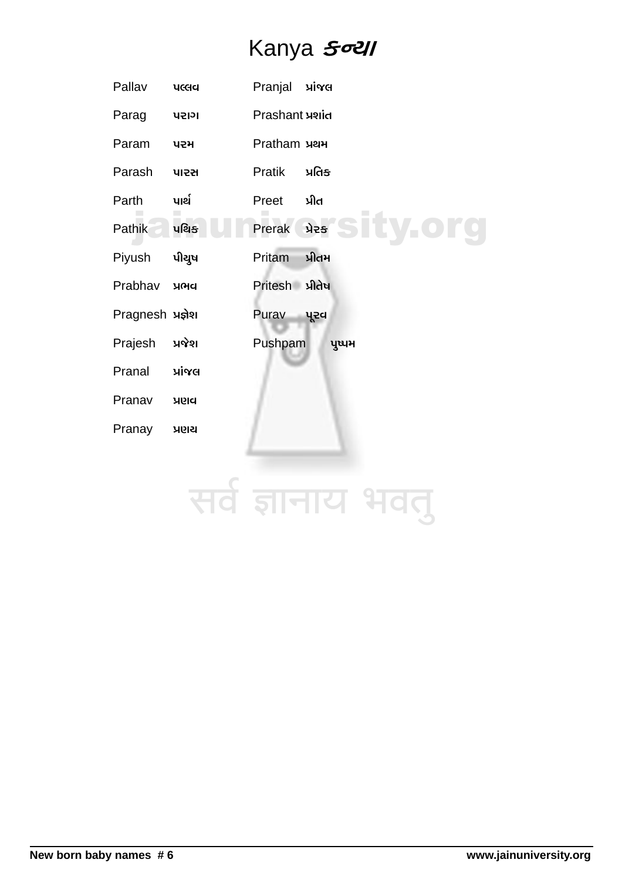#### Kanya Soll

| Pallav            | <b>UCCICI</b> | Pranjal         | પ્રાંજલ |
|-------------------|---------------|-----------------|---------|
| Parag             | 145121        | Prashant yiid   |         |
| Param             | ਪ੨ਮ           | Pratham yay     |         |
| Parash            | <b>પારસ</b>   | <b>Pratik</b>   | પ્રતિક  |
| Parth             | પાર્થ         | Preet           | પ્રીત   |
| Pathik            | પથિક          | Prerak          | ਮੇਟਙ    |
| Piyush            | પીચુષ         | Pritam          | પ્રીતમ  |
| Prabhav           | <b>YGICI</b>  | Pritesh પ્રીતેષ |         |
| Pragnesh પ્રજ્ઞેશ |               | Purav           | પૂરવ    |
| Prajesh           | પ્રજેશ        | Pushpam         | पुष्पभ  |
| Pranal            | પ્રાંજલ       |                 |         |
| Pranav            | ଧାର           |                 |         |
| Pranay            | પ્રણય         |                 |         |
|                   |               |                 |         |
|                   |               |                 |         |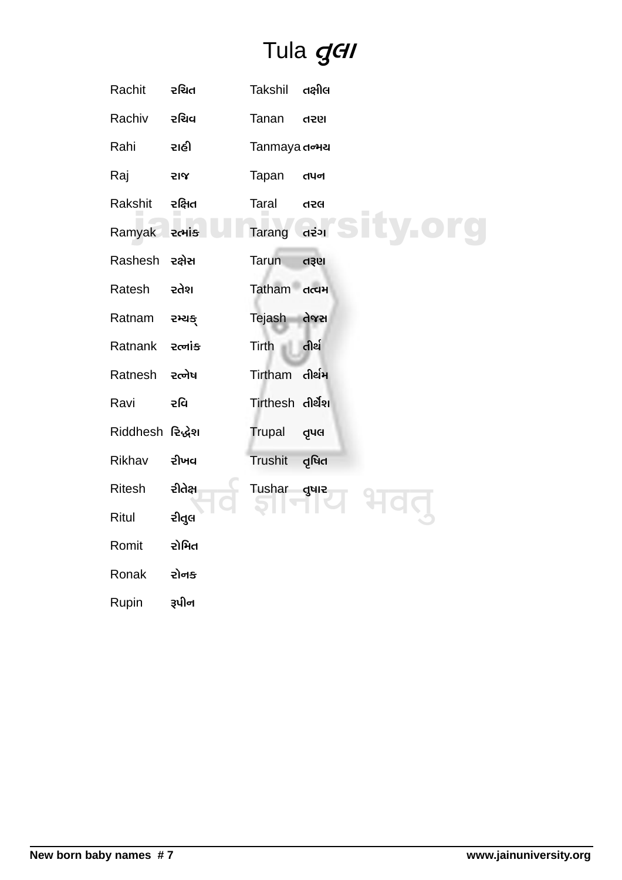#### Tula gell

| Rachit           | રચિત    | Takshil          | તક્ષીલ |  |
|------------------|---------|------------------|--------|--|
| Rachiv           | રચિવ    | Tanan            | 195h   |  |
| Rahi             | રાહી    | Tanmaya douu     |        |  |
| Raj              | 기도      | Tapan            | તપન    |  |
| Rakshit          | રક્ષિત  | Taral            | 456    |  |
| Ramyak           | રત્માંક | Tarang           | ้ตะ๋วเ |  |
| Rashesh          | રક્ષેસ  | <b>Tarun</b>     | d3el   |  |
| Ratesh           | રતેશ    | Tatham           | તત્વમ  |  |
| Ratnam           | રમ્યક્  | Tejash           | તેજસ   |  |
| Ratnank          | २त्नांड | Tirth            | તીર્થ  |  |
| Ratnesh          | ૨ત્નેષ  | Tirtham          | તીર્થમ |  |
| Ravi             | રવિ     | Tirthesh તીર્થેશ |        |  |
| Riddhesh રિદ્ધેશ |         | Trupal           | dnd    |  |
| Rikhav           | રીખવ    | Trushit          | તૃષિત  |  |
| Ritesh           | રીતેક્ષ | Tushar guiz      |        |  |
| Ritul            | રીતુલ   |                  |        |  |
| Romit            | રોમિત   |                  |        |  |
| Ronak            | રોનક    |                  |        |  |
| Rupin            | રૂપીન   |                  |        |  |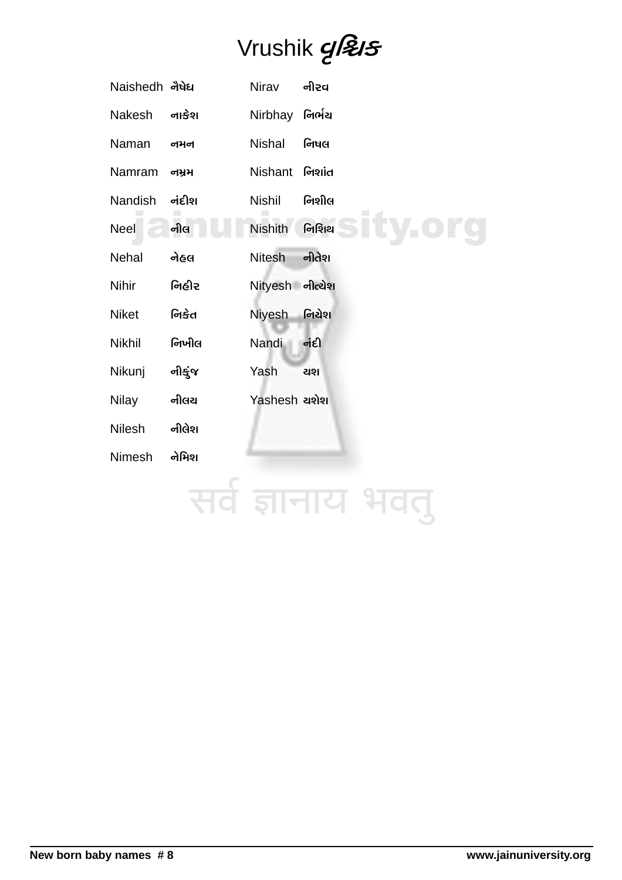## Vrushik gl&s

| Naishedh નેષેધ |        | <b>Nirav</b>    | નીરવ   |
|----------------|--------|-----------------|--------|
| Nakesh         | નાકેશ  | Nirbhay         | નિર્ભચ |
| Naman          | 이거이    | Nishal          | નિષલ   |
| Namram         | 이거거    | Nishant         | નિશાંત |
| Nandish        | નંદીશ  | <b>Nishil</b>   | નિશીલ  |
| <b>Neel</b>    | નીલ    | <b>Nishith</b>  | નિશિથ  |
| <b>Nehal</b>   | નેહલ   | <b>Nitesh</b>   | નીતેશ  |
| <b>Nihir</b>   | નિહીર  | Nityesh નીત્ચેશ |        |
| <b>Niket</b>   | નિકેત  | <b>Niyesh</b>   | નિચેશ  |
| Nikhil         | નિખીલ  | Nandi           | નંદી   |
| Nikunj         | નીકુંજ | Yash            | ચશ     |
| Nilay          | નીલચ   | Yashesh asla    |        |
| <b>Nilesh</b>  | નીલેશ  |                 |        |
| Nimesh         | નેમિશ  |                 |        |
|                |        |                 |        |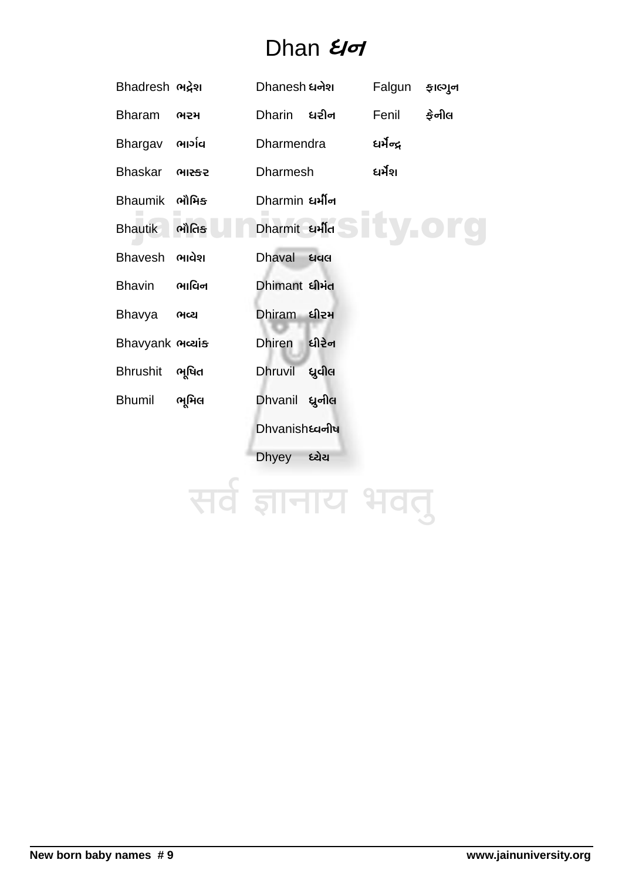#### Dhan *Uo*

| Bhadresh ભद्रेश           |        | Dhanesh ધનેશ            |                  | Falgun     | ફાલ્ગુન |
|---------------------------|--------|-------------------------|------------------|------------|---------|
| <b>Bharam</b>             | ભરમ    | Dharin ધરીન             |                  | Fenil      | કેનીલ   |
| Bhargav                   | ભાર્ગવ | <b>Dharmendra</b>       |                  | धर्भेन्द्र |         |
| <b>Bhaskar</b>            | ભાસ્કર | <b>Dharmesh</b>         |                  | ધર્મશ      |         |
| <b>Bhaumik</b>            | ભૌમિક  | Dharmin धर्मीन          |                  |            |         |
| <b>Bhautik</b>            | ભૌતિક  | Dharmit ยาโต            |                  |            |         |
| <b>Bhavesh</b>            | ભાવેશ  | <b>Dhaval</b>           | 44 <sub>rd</sub> |            |         |
| <b>Bhavin</b>             | ભાવિન  | Dhimant <i>ધી</i> મંત   |                  |            |         |
| Bhavya                    | ભવ્ય   | Dhiram ધીરમ             |                  |            |         |
| Bhavyank <sub>Mcais</sub> |        | <b>Dhiren</b>           | ધીરેન            |            |         |
| <b>Bhrushit</b>           | ભૂષિત  | <b>Dhruvil</b>          | ध्रुवील          |            |         |
| <b>Bhumil</b>             | ભૂમિલ  | Dhvanil ધ્રુનીલ         |                  |            |         |
|                           |        | Dhvanish <b>ध्यनी</b> ष |                  |            |         |
|                           |        | <b>Dhyey</b>            | ધ્યેય            |            |         |
|                           |        |                         |                  |            |         |

# सर्व ज्ञानाय भवतु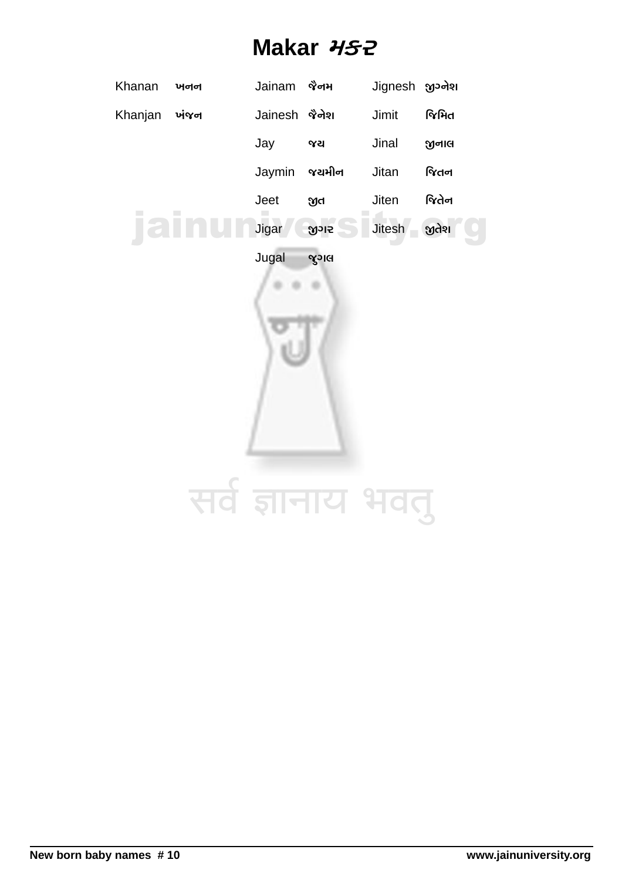#### Makar HS2

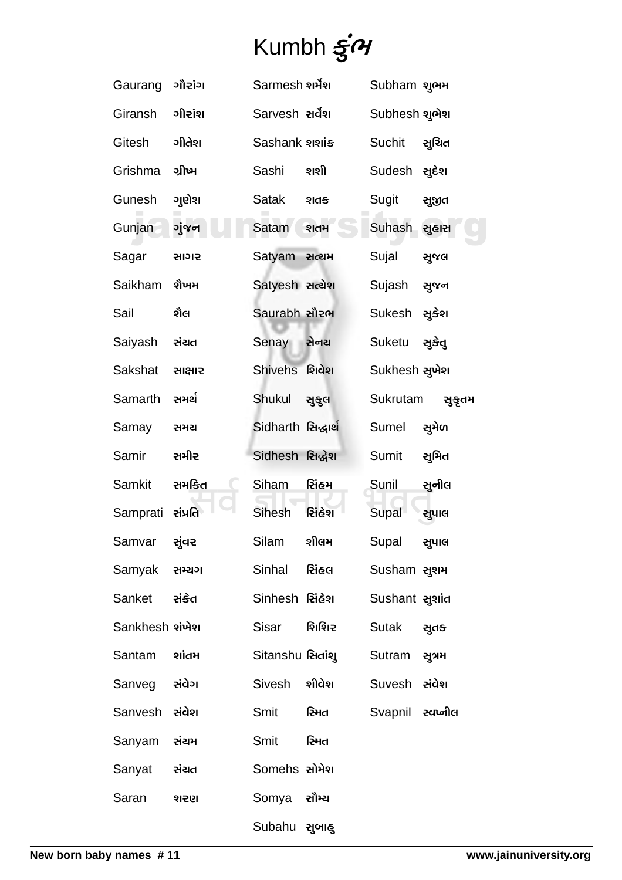# Kumbh  $\vec{s}$ *<sup>* $\gamma$ *</sup>*

| Gaurang                  | ગૌરાંગ  | Sarmesh શર્મેશ     |                   | Subham શુભમ             |        |
|--------------------------|---------|--------------------|-------------------|-------------------------|--------|
| Giransh                  | ગીરાંશ  | Sarvesh સર્વેશ     |                   | Subhesh શુભેશ           |        |
| Gitesh                   | ગીતેશ   | Sashank 212115     |                   | Suchit                  | સુચિત  |
| Grishma                  | ગ્રીષ્મ | Sashi              | શશી               | Sudesh સુદેશ            |        |
| Gunesh                   | ગણેશ    | Satak              | ଽ୲ମୟ              | Sugit                   | સુજીત  |
| Gunjan                   | ગુંજન   | Satam              | શતમ               | Suhash                  | સુહાસ  |
| Sagar                    | સાગર    | Satyam ReaH        |                   | Sujal                   | સુજલ   |
| Saikham                  | શૈખમ    | Satyesh સત્યેશ     |                   | Sujash                  | સુજન   |
| Sail                     | શૈલ     | Saurabh સૌરભ       |                   | Sukesh                  | સુકેશ  |
| Saiyash                  | સંચત    | Senay              | સેનય              | Suketu                  | સુકેતુ |
| <b>Sakshat</b>           | સાક્ષાર | Shivehs શિવેશ      |                   | Sukhesh સુખેશ           |        |
| Samarth                  | સમર્થ   | Shukul             | સુકુલ             | Sukrutam                | સુકૃતમ |
| Samay                    | સમય     | Sidharth સિદ્ધાર્થ |                   | Sumel                   | સુમેળ  |
| Samir                    | સમીર    | Sidhesh સિદ્ધેશ    |                   | Sumit                   | સુમિત  |
| <b>Samkit</b>            | સમકિત   | Siham              | સિંહમ             | Sunil                   | સૂનીલ  |
| Samprati સંપ્રતિ         |         | <b>Sihesh</b>      | સિંહેશ            | Supal                   | સુપાલ  |
| Samvar                   | સુંવર   | Silam              | શીલમ              | Supal                   | સુપાલ  |
| Samyak સમ્ચગ             |         | Sinhal સિંહલ       |                   | Susham સુશમ             |        |
| Sanket સંકેત             |         | Sinhesh સિંહેશ     |                   | Sushant agild           |        |
| Sankhesh શંખેશ           |         | Sisar શિશિર        |                   | Sutak સુતક              |        |
| Santam siid <sub>H</sub> |         |                    | Sitanshu સિતાંશુ  | Sutram સૂત્રમ           |        |
| Sanveg સંવેગ             |         | Sivesh શીવેશ       |                   | Suvesh zida             |        |
| Sanvesh સંવેશ            |         |                    | Smit <b>ਇੰ</b> ਮਰ | Svapnil <i>z</i> queniq |        |
| Sanyam સંચમ              |         | Smit <b>સ્મિત</b>  |                   |                         |        |
| Sanyat સંચત              |         | Somehs સોમેશ       |                   |                         |        |
| Saran                    | 19519   | Somya સૌમ્ય        |                   |                         |        |
|                          |         | Subahu સુબાહુ      |                   |                         |        |